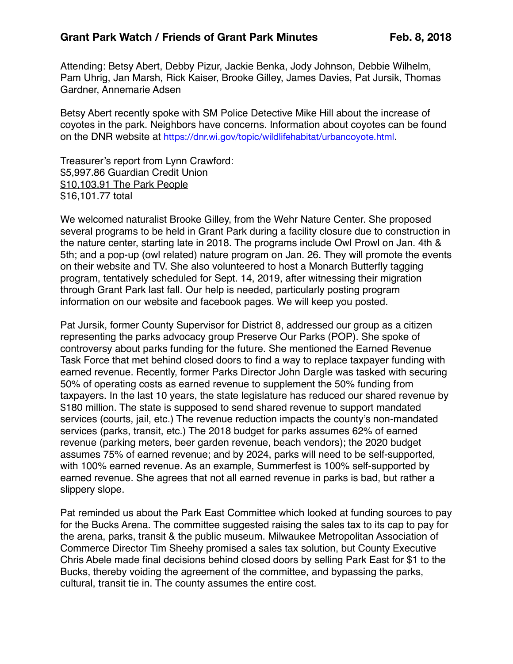Attending: Betsy Abert, Debby Pizur, Jackie Benka, Jody Johnson, Debbie Wilhelm, Pam Uhrig, Jan Marsh, Rick Kaiser, Brooke Gilley, James Davies, Pat Jursik, Thomas Gardner, Annemarie Adsen

Betsy Abert recently spoke with SM Police Detective Mike Hill about the increase of coyotes in the park. Neighbors have concerns. Information about coyotes can be found on the DNR website at <https://dnr.wi.gov/topic/wildlifehabitat/urbancoyote.html>.

Treasurer's report from Lynn Crawford: \$5,997.86 Guardian Credit Union \$10,103.91 The Park People \$16,101.77 total

We welcomed naturalist Brooke Gilley, from the Wehr Nature Center. She proposed several programs to be held in Grant Park during a facility closure due to construction in the nature center, starting late in 2018. The programs include Owl Prowl on Jan. 4th & 5th; and a pop-up (owl related) nature program on Jan. 26. They will promote the events on their website and TV. She also volunteered to host a Monarch Butterfly tagging program, tentatively scheduled for Sept. 14, 2019, after witnessing their migration through Grant Park last fall. Our help is needed, particularly posting program information on our website and facebook pages. We will keep you posted.

Pat Jursik, former County Supervisor for District 8, addressed our group as a citizen representing the parks advocacy group Preserve Our Parks (POP). She spoke of controversy about parks funding for the future. She mentioned the Earned Revenue Task Force that met behind closed doors to find a way to replace taxpayer funding with earned revenue. Recently, former Parks Director John Dargle was tasked with securing 50% of operating costs as earned revenue to supplement the 50% funding from taxpayers. In the last 10 years, the state legislature has reduced our shared revenue by \$180 million. The state is supposed to send shared revenue to support mandated services (courts, jail, etc.) The revenue reduction impacts the county's non-mandated services (parks, transit, etc.) The 2018 budget for parks assumes 62% of earned revenue (parking meters, beer garden revenue, beach vendors); the 2020 budget assumes 75% of earned revenue; and by 2024, parks will need to be self-supported, with 100% earned revenue. As an example, Summerfest is 100% self-supported by earned revenue. She agrees that not all earned revenue in parks is bad, but rather a slippery slope.

Pat reminded us about the Park East Committee which looked at funding sources to pay for the Bucks Arena. The committee suggested raising the sales tax to its cap to pay for the arena, parks, transit & the public museum. Milwaukee Metropolitan Association of Commerce Director Tim Sheehy promised a sales tax solution, but County Executive Chris Abele made final decisions behind closed doors by selling Park East for \$1 to the Bucks, thereby voiding the agreement of the committee, and bypassing the parks, cultural, transit tie in. The county assumes the entire cost.